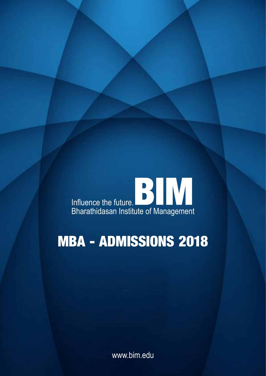

# **MBA - ADMISSIONS 2018**

www.bim.edu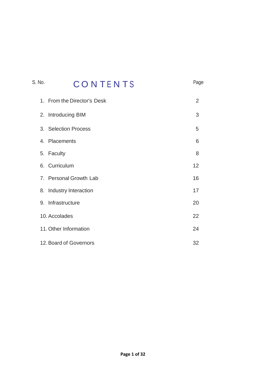# S. No. **CONTENTS** Page 1. From the Director's Desk 2 2. Introducing BIM 3 3. Selection Process 5 4. Placements 6 5. Faculty 8 6. Curriculum 12 7. Personal Growth Lab 16 8. Industry Interaction 17 9. Infrastructure 20 10. Accolades 22 11. Other Information 24 12. Board of Governors 32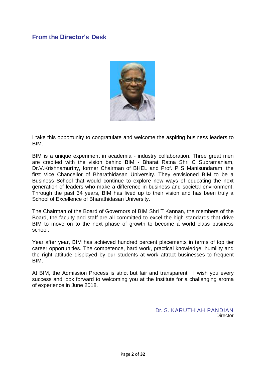# **From the Director's Desk**



I take this opportunity to congratulate and welcome the aspiring business leaders to BIM.

BIM is a unique experiment in academia - industry collaboration. Three great men are credited with the vision behind BIM - Bharat Ratna Shri C Subramaniam, Dr.V.Krishnamurthy, former Chairman of BHEL and Prof. P S Manisundaram, the first Vice Chancellor of Bharathidasan University. They envisioned BIM to be a Business School that would continue to explore new ways of educating the next generation of leaders who make a difference in business and societal environment. Through the past 34 years, BIM has lived up to their vision and has been truly a School of Excellence of Bharathidasan University.

The Chairman of the Board of Governors of BIM Shri T Kannan, the members of the Board, the faculty and staff are all committed to excel the high standards that drive BIM to move on to the next phase of growth to become a world class business school.

Year after year, BIM has achieved hundred percent placements in terms of top tier career opportunities. The competence, hard work, practical knowledge, humility and the right attitude displayed by our students at work attract businesses to frequent BIM.

At BIM, the Admission Process is strict but fair and transparent. I wish you every success and look forward to welcoming you at the Institute for a challenging aroma of experience in June 2018.

> Dr. S. KARUTHIAH PANDIAN **Director**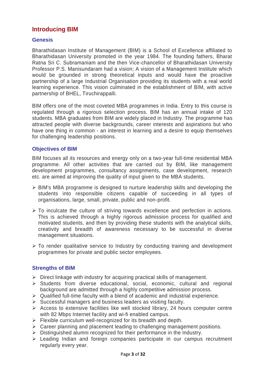# **Introducing BIM**

# **Genesis**

Bharathidasan Institute of Management (BIM) is a School of Excellence affiliated to Bharathidasan University promoted in the year 1984. The founding fathers, Bharat Ratna Sri C. Subramaniam and the then Vice-chancellor of Bharathidasan University Professor P.S. Manisundaram had a vision; A vision of a Management Institute which would be grounded in strong theoretical inputs and would have the proactive partnership of a large Industrial Organisation providing its students with a real world learning experience. This vision culminated in the establishment of BIM, with active partnership of BHEL, Tiruchirappalli.

BIM offers one of the most coveted MBA programmes in India. Entry to this course is regulated through a rigorous selection process. BIM has an annual intake of 120 students. MBA graduates from BIM are widely placed in Industry. The programme has attracted people with diverse backgrounds, career interests and aspirations but who have one thing in common - an interest in learning and a desire to equip themselves for challenging leadership positions.

## **Objectives of BIM**

BIM focuses all its resources and energy only on a two-year full-time residential MBA programme. All other activities that are carried out by BIM, like management development programmes, consultancy assignments, case development, research etc. are aimed at improving the quality of input given to the MBA students.

- BIM's MBA programme is designed to nurture leadership skills and developing the students into responsible citizens capable of succeeding in all types of organisations, large, small, private, public and non-profit.
- $\triangleright$  To inculcate the culture of striving towards excellence and perfection in actions. This is achieved through a highly rigorous admission process for qualified and motivated students, and then by providing these students with the analytical skills, creativity and breadth of awareness necessary to be successful in diverse management situations.
- $\triangleright$  To render qualitative service to Industry by conducting training and development programmes for private and public sector employees.

# **Strengths of BIM**

- $\triangleright$  Direct linkage with industry for acquiring practical skills of management.
- $\triangleright$  Students from diverse educational, social, economic, cultural and regional background are admitted through a highly competitive admission process.
- $\triangleright$  Qualified full-time faculty with a blend of academic and industrial experience.
- $\triangleright$  Successful managers and business leaders as visiting faculty.
- $\triangleright$  Access to extensive facilities like well stocked library, 24 hours computer centre with 82 Mbps Internet facility and wi-fi enabled campus.
- $\triangleright$  Flexible curriculum well-recognized for its breadth and depth.
- $\triangleright$  Career planning and placement leading to challenging management positions.
- $\triangleright$  Distinguished alumni recognized for their performance in the Industry.
- Leading Indian and foreign companies participate in our campus recruitment regularly every year.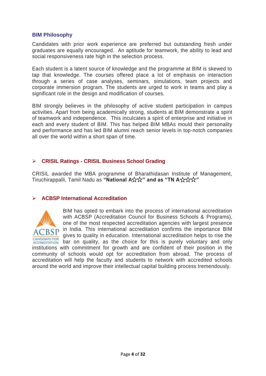# **BIM Philosophy**

Candidates with prior work experience are preferred but outstanding fresh under graduates are equally encouraged. An aptitude for teamwork, the ability to lead and social responsiveness rate high in the selection process.

Each student is a latent source of knowledge and the programme at BIM is skewed to tap that knowledge. The courses offered place a lot of emphasis on interaction through a series of case analyses, seminars, simulations, team projects and corporate immersion program. The students are urged to work in teams and play a significant role in the design and modification of courses.

BIM strongly believes in the philosophy of active student participation in campus activities. Apart from being academically strong, students at BIM demonstrate a spirit of teamwork and independence. This inculcates a spirit of enterprise and initiative in each and every student of BIM. This has helped BIM MBAs mould their personality and performance and has led BIM alumni reach senior levels in top-notch companies all over the world within a short span of time.

# **CRISIL Ratings - CRISIL Business School Grading**

CRISIL awarded the MBA programme of Bharathidasan Institute of Management, Tiruchirappalli, Tamil Nadu as "National A☆☆" and as "TN A☆☆☆"

# **ACBSP International Accreditation**



BIM has opted to embark into the process of international accreditation with ACBSP (Accreditation Council for Business Schools & Programs), one of the most respected accreditation agencies with largest presence in India. This international accreditation confirms the importance BIM gives to quality in education. International accreditation helps to rise the **BRIDGE CON** bar on quality, as the choice for this is purely voluntary and only institutions with commitment for growth and are confident of their position in the community of schools would opt for accreditation from abroad. The process of accreditation will help the faculty and students to network with accredited schools around the world and improve their intellectual capital building process tremendously.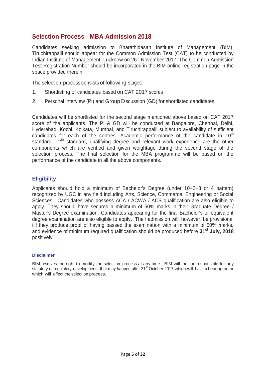# **Selection Process - MBA Admission 2018**

Candidates seeking admission to Bharathidasan Institute of Management (BIM), Tiruchirappalli should appear for the Common Admission Test (CAT) to be conducted by Indian Institute of Management, Lucknow on 26<sup>th</sup> November 2017. The Common Admission Test Registration Number should be incorporated in the BIM online registration page in the space provided therein.

The selection process consists of following stages:

- 1. Shortlisting of candidates based on CAT 2017 scores
- 2. Personal Interview (PI) and Group Discussion (GD) for shortlisted candidates.

Candidates will be shortlisted for the second stage mentioned above based on CAT 2017 score of the applicants. The PI & GD will be conducted at Bangalore, Chennai, Delhi, Hyderabad, Kochi, Kolkata, Mumbai, and Tiruchirappalli subject to availability of sufficient candidates for each of the centres. Academic performance of the candidate in 10<sup>th</sup> standard,  $12<sup>th</sup>$  standard, qualifying degree and relevant work experience are the other components which are verified and given weightage during the second stage of the selection process. The final selection for the MBA programme will be based on the performance of the candidate in all the above components.

# **Eligibility**

Applicants should hold a minimum of Bachelor's Degree (under 10+2+3 or 4 pattern) recognized by UGC in any field including Arts, Science, Commerce, Engineering or Social Sciences. Candidates who possess ACA / ACWA / ACS qualification are also eligible to apply. They should have secured a minimum of 50% marks in their Graduate Degree / Master's Degree examination. Candidates appearing for the final Bachelor's or equivalent degree examination are also eligible to apply. Their admission will, however, be provisional till they produce proof of having passed the examination with a minimum of 50% marks, and evidence of minimum required qualification should be produced before **31st July, 2018** positively.

#### **Disclaimer**

BIM reserves the right to modify the selection process at any time. BIM will not be responsible for any statutory or regulatory developments that may happen after 31<sup>st</sup> October 2017 which will have a bearing on or which will affect the selection process.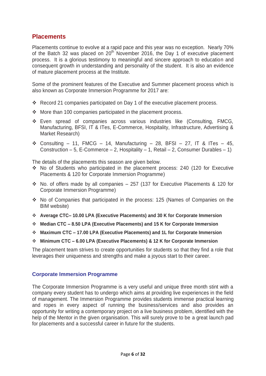# **Placements**

Placements continue to evolve at a rapid pace and this year was no exception. Nearly 70% of the Batch 32 was placed on  $20<sup>th</sup>$  November 2016, the Day 1 of executive placement process. It is a glorious testimony to meaningful and sincere approach to education and consequent growth in understanding and personality of the student. It is also an evidence of mature placement process at the Institute.

Some of the prominent features of the Executive and Summer placement process which is also known as Corporate Immersion Programme for 2017 are:

- Record 21 companies participated on Day 1 of the executive placement process.
- $\div$  More than 100 companies participated in the placement process.
- Even spread of companies across various industries like (Consulting, FMCG, Manufacturing, BFSI, IT & ITes, E-Commerce, Hospitality, Infrastructure, Advertising & Market Research)
- $\div$  Consulting 11, FMCG 14, Manufacturing 28, BFSI 27, IT & ITes 45, Construction – 5, E-Commerce – 2, Hospitality – 1, Retail – 2, Consumer Durables – 1)

The details of the placements this season are given below.

- No of Students who participated in the placement process: 240 (120 for Executive Placements & 120 for Corporate Immersion Programme)
- $\cdot$  No. of offers made by all companies 257 (137 for Executive Placements & 120 for Corporate Immersion Programme)
- No of Companies that participated in the process: 125 (Names of Companies on the BIM website)
- **Average CTC– 10.00 LPA (Executive Placements) and 30 K for Corporate Immersion**
- **Median CTC – 8.50 LPA (Executive Placements) and 15 K for Corporate Immersion**
- **Maximum CTC – 17.00 LPA (Executive Placements) and 1L for Corporate Immersion**
- **Minimum CTC – 6.00 LPA (Executive Placements) & 12 K for Corporate Immersion**

The placement team strives to create opportunities for students so that they find a role that leverages their uniqueness and strengths and make a joyous start to their career.

# **Corporate Immersion Programme**

The Corporate Immersion Programme is a very useful and unique three month stint with a company every student has to undergo which aims at providing live experiences in the field of management. The Immersion Programme provides students immense practical learning and ropes in every aspect of running the business/services and also provides an opportunity for writing a contemporary project on a live business problem, identified with the help of the Mentor in the given organisation. This will surely prove to be a great launch pad for placements and a successful career in future for the students.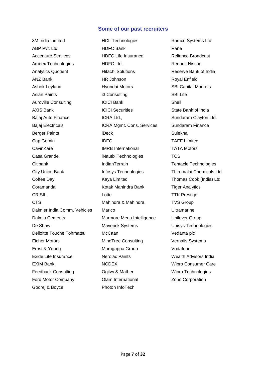## **Some of our past recruiters**

3M India Limited ABP Pvt. Ltd. Accenture Services Ameex Technologies Analytics Quotient ANZ Bank Ashok Leyland Asian Paints Auroville Consulting AXIS Bank Bajaj Auto Finance Bajaj Electricals Berger Paints Cap Gemini **CavinKare** Casa Grande **Citibank** City Union Bank Coffee Day Coramandal **CRISIL CTS** Daimler India Comm. Vehicles Dalmia Cements De Shaw Delloitte Touche Tohmatsu Eicher Motors Ernst & Young Exide Life Insurance EXIM Bank Feedback Consulting Ford Motor Company Godrej & Boyce

HCL Technologies HDFC Bank HDFC Life Insurance HDFC Ltd. Hitachi Solutions HR Johnson Hyundai Motors i3 Consulting ICICI Bank ICICI Securities ICRA Ltd., ICRA Mgmt. Cons. Services iDeck IDFC IMRB International iNautix Technologies IndianTerrain Infosys Technologies Kaya Limited Kotak Mahindra Bank Lotte Mahindra & Mahindra Marico Marmore Mena Intelligence Maverick Systems McCaan MindTree Consulting Murugappa Group Nerolac Paints NCDEX Ogilvy & Mather Olam International Photon InfoTech

Ramco Systems Ltd. Rane Reliance Broadcast Renault Nissan Reserve Bank of India Royal Enfield SBI Capital Markets SBI Life Shell State Bank of India Sundaram Clayton Ltd. Sundaram Finance Sulekha TAFE Limited TATA Motors **TCS** Tentacle Technologies Thirumalai Chemicals Ltd. Thomas Cook (India) Ltd Tiger Analytics TTK Prestige TVS Group Ultramarine Unilever Group Unisys Technologies Vedanta plc Vernalis Systems Vodafone Wealth Advisors India Wipro Consumer Care Wipro Technologies Zoho Corporation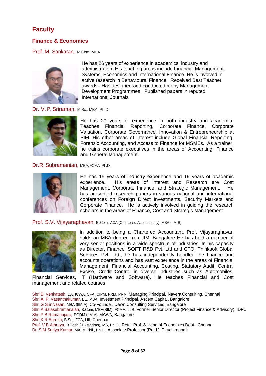# **Faculty**

# **Finance & Economics**

Prof. M. Sankaran, M.Com, MBA



He has 26 years of experience in academics, industry and administration. His teaching areas include Financial Management, Systems, Economics and International Finance. He is involved in active research in Behavioural Finance. Received Best Teacher awards. Has designed and conducted many Management Development Programmes. Published papers in reputed International Journals

Dr. V. P. Sriraman, M.Sc., MBA, Ph.D.



He has 20 years of experience in both industry and academia. Teaches Financial Reporting, Corporate Finance, Corporate Valuation, Corporate Governance, Innovation & Entrepreneurship at BIM. His other areas of interest include Global Financial Reporting, Forensic Accounting, and Access to Finance for MSMEs. As a trainer, he trains corporate executives in the areas of Accounting, Finance and General Management.

#### Dr.R. Subramanian, MBA,FCMA, Ph.D.



He has 15 years of industry experience and 19 years of academic experience. His areas of interest and Research are Cost Management, Corporate Finance, and Strategic Management. He has presented research papers in various national and international conferences on Foreign Direct Investments, Security Markets and Corporate Finance. He is actively involved in guiding the research scholars in the areas of Finance, Cost and Strategic Management.

Prof. S.V. Vijayaraghavan, B..Com., ACA (Chartered Accountancy), MBA (IIM-B)



In addition to being a Chartered Accountant, Prof. Vijayaraghavan holds an MBA degree from IIM, Bangalore He has held a number of very senior positions in a wide spectrum of industries. In his capacity as Director, Finance ISOFT R&D Pvt. Ltd and CFO, Thinksoft Global Services Pvt. Ltd., he has independently handled the finance and accounts operations and has vast experience in the areas of Financial Management, Financial Accounting, Costing, Statutory Audit, Central Excise, Credit Control in diverse industries such as Automobiles,

Financial Services, IT (Hardware and Software). He teaches Financial and Cost management and related courses.

Shri B. Venkatesh, CA, ICWA, CFA, CIPM, FRM, PRM, Managing Principal, Navera Consulting, Chennai Shri A. P. Vasanthakumar, BE, MBA, Investment Principal, Ascent Capital, Bangalore Shri G Srinivasan, MBA (IIM-A), Co-Founder, Dawn Consulting Services, Bangalore Shri A Balasubramanaian, B.Com, MBA(BIM), FCMA, LLB, Former Senior Director (Project Finance & Advisory), IDFC Shri P B Ramanujam, PGDM (IIM-A), AICWA, Bangalore Shri K R Suresh, B.Sc., FCA, LIII, Chennai Prof. V B Athreya, B.Tech (IIT-Madras), MS, Ph.D., Retd. Prof. & Head of Economics Dept., Chennai Dr. S M Suriya Kumar, MA, M.Phil., Ph.D., Associate Professor (Retd.), Tiruchirappalli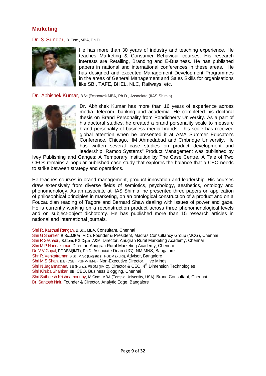# **Marketing**

Dr. S. Sundar, B..Com., MBA, Ph.D.



He has more than 30 years of industry and teaching experience. He teaches Marketing & Consumer Behaviour courses. His research interests are Retailing, Branding and E-Business. He has published papers in national and international conferences in these areas. He has designed and executed Management Development Programmes in the areas of General Management and Sales Skills for organisations like SBI, TAFE, BHEL, NLC, Railways, etc.

Dr. Abhishek Kumar, B.Sc. (Economics), MBA, Ph.D., Associate (IIAS Shimla)



Dr. Abhishek Kumar has more than 16 years of experience across media, telecom, banking and academia. He completed his doctoral thesis on Brand Personality from Pondicherry University. As a part of his doctoral studies, he created a brand personality scale to measure brand personality of business media brands. This scale has received global attention when he presented it at AMA Summer Educator's Conference, Chicago, IIM Ahmedabad and Cmbridge University. He has written several case studies on product development and leadership. Ramco Systems" Product Management was published by

Ivey Publishing and Ganges: A Temporary Institution by The Case Centre. A Tale of Two CEOs remains a popular published case study that explores the balance that a CEO needs to strike between strategy and operations.

He teaches courses in brand management, product innovation and leadership. His courses draw extensively from diverse fields of semiotics, psychology, aesthetics, ontology and phenomenology. As an associate at IIAS Shimla, he presented three papers on application of philosophical principles in marketing, on an ontological construction of a product and on a Foucauldian reading of Tagore and Bernard Shaw dealing with issues of power and gaze. He is currently working on a reconstruction product across three phenomenological levels and on subject-object dichotomy. He has published more than 15 research articles in national and international journals.

Shri R. Kasthuri Rangan, B.Sc., MBA, Consultant, Chennai

Shri G Shanker, B.Sc.,MBA(IIM-C), Founder & President, Madras Consultancy Group (MCG), Chennai Shri R Seshadri, B.Com, PG Dip.in A&M, Director, Anugrah Rural Marketing Academy, Chennai Shri M P Nandakumar, Director, Anugrah Rural Marketing Academy, Chennai Dr. V V Gopal, PGDBM(IMT), Ph.D, Associate Dean (UG), NMIMNS, Bangalore Shri R. Venkatraman B.Sc, M.Sc (Logistics), PGDM (XLRI), Advisor, Bangalore Shri M S Shan, B.E.(CSE), PGPM(IIM-B), Non-Executive Director, Hive Minds Shri N Jagannathan, BE (Hons.), PGDM (IIM-C), Director & CEO, 4<sup>th</sup> Dimension Technologies Shri Kiruba Shankar, BE, CEO, Business Blogging, Chennai Shri Satheesh Krishnamoorthy, M.Com, MBA (Temple University, USA), Brand Consultant, Chennai Dr. Santosh Nair, Founder & Director, Analytic Edge, Bangalore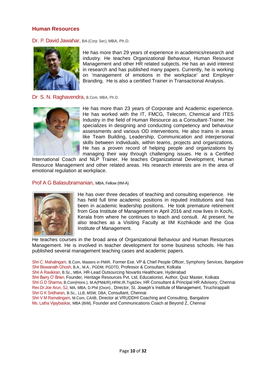# **Human Resources**

Dr. P. David Jawahar, BA (Corp Sec), MBA, Ph.D.



He has more than 29 years of experience in academics/research and industry. He teaches Organizational Behaviour, Human Resource Management and other HR related subjects. He has an avid interest in research and has published many papers. Currently, he is working on 'management of emotions in the workplace' and Employer Branding. He is also a certified Trainer in Transactional Analysis.

Dr S. N. Raghavendra, B.Com, MBA, Ph.D.



He has more than 23 years of Corporate and Academic experience. He has worked with the IT, FMCG, Telecom, Chemical and ITES Industry in the field of Human Resource as a Consultant-Trainer. He specializes in designing and conducting competency and behaviour assessments and various OD interventions. He also trains in areas like Team Building, Leadership, Communication and interpersonal skills between individuals, within teams, projects and organizations. He has a proven record of helping people and organizations by managing their way through challenging issues. He is a Certified

International Coach and NLP Trainer. He teaches Organizational Development, Human Resource Management and other related areas. His research interests are in the area of emotional regulation at workplace.

#### Prof A G Balasubramanian, MBA, Fellow (IIM-A)



He has over three decades of teaching and consulting experience. He has held full time academic positions in reputed institutions and has been in academic leadership positions. He took premature retirement from Goa Institute of Management in April 2016 and now lives in Kochi, Kerala from where he continues to teach and consult. At present, he also teaches as a Visiting Faculty at IIM Kozhikode and the Goa Institute of Management.

He teaches courses in the broad area of Organizational Behaviour and Human Resources Management. He is involved in teacher development for some business schools. He has published several management teaching cases and academic papers.

Shri C. Mahalingam, B.Com, Masters in PMIR, Former Exe. VP & Chief People Officer, Symphony Services, Bangalore Shri Biswanath Ghosh, B.A., M.A., PGDM, PGDTD, Professor & Consultant, Kolkata Shri A Ravikiran, B.Sc., MBA, HR-Lead Outsourcing Novartis Healthcare, Hyderabad Shri Barry O' Brien, Founder, Heritage Resources Pvt. Ltd, Educationist, Author, Quiz Master, Kolkata Shri G D Sharma, B.Com(Hons.), M.A(PM&IR)[,HRM,](http://in.linkedin.com/edu/fos?id=101460&trk=prof-edu-field_of_study)IR,Trg&Dev, HR Consultant & Principal HR Advisory, Chennai Rev.Dr.Joe Arun, SJ, MA, MBA, D.Phil (Oxon)., Director, St. Joseph's Institute of Management, Tiruchirappalli Shri G K Sridharan, B.Sc., LLB, MSW, DBA, Consultant, Chennai Shri V M Ramalingam, M.Com, CAIIB, Director at VRUDDHI Coaching and Consulting, Bangalore

Ms. Latha Vijaybaskar, MBA (BIM), Founder and Communications Coach at Beyond Z, Chennai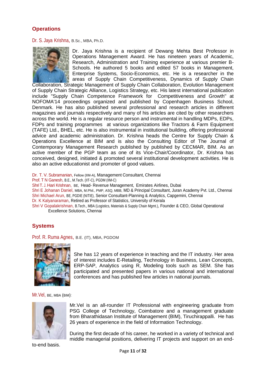# **Operations**

Dr. S. Jaya Krishna, B.Sc., MBA, Ph.D.



Dr. Jaya Krishna is a recipient of Dewang Mehta Best Professor in Operations Management Award. He has nineteen years of Academic, Research, Administration and Training experience at various premier B-Schools. He authored 5 books and edited 57 books in Management, Enterprise Systems, Socio-Economics, etc. He is a researcher in the areas of Supply Chain Competitiveness, Dynamics of Supply Chain

Collaboration, Strategic Management of Supply Chain Collaboration, Evolution Management of Supply Chain Strategic Alliance, Logistics Strategy, etc. His latest international publication include "Supply Chain Competence Framework for Competitiveness and Growth" at NOFOMA'14 proceedings organized and published by Copenhagen Business School, Denmark. He has also published several professional and research articles in different magazines and journals respectively and many of his articles are cited by other researchers across the world. He is a regular resource person and instrumental in handling MDPs, EDPs, FDPs and training programmes at various organizations like Tractors & Farm Equipment (TAFE) Ltd., BHEL, etc. He is also instrumental in institutional building, offering professional advice and academic administration. Dr. Krishna heads the Centre for Supply Chain & Operations Excellence at BIM and is also the Consulting Editor of The Journal of Contemporary Management Research published by published by CECMAR, BIM. As an active member of the PGP team as one of its Vice-Chair/Coordinator, Dr. Krishna has conceived, designed, initiated & promoted several institutional development activities. He is also an active educationist and promoter of good values.

Dr. T. V. Subramanian, Fellow (IIM-A), Management Consultant, Chennai

Prof. T N Ganesh, B.E., M.Tech. (IIT-C), PGDM (IIM-C)

ShriT. J. Hari Krishnan, BE, Head- Revenue Management, Emirates Airlines, Dubai

Shri E Johanan Daniel, MBA, M.Phil., PMP, ASQ, MBB, MD & Principal Consultant, Juran Academy Pvt. Ltd., Chennai Shri Michael Arun, BE, PGDIE (NITIE), Senior Consultant-Planning & Analytics, Capgemini, Chennai

Dr. K Kalyanaraman, Retired as Professor of Statistics, University of Kerala

Shri V Gopalakrishnan, B.Tech., MBA (Logistics, Materials & Supply Chain Mgmt.), Founder & CEO, Global Operational Excellence Solutions, Chennai

# **Systems**

Prof. R. Ruma Agnes, B.E. (IT), MBA, PGDOM



She has 12 years of experience in teaching and the IT industry. Her area of interest includes E-Retailing, Technology in Business, Lean Concepts, ERP-SAP, Analytics using R, Modeling tools such as SEM. She has participated and presented papers in various national and international conferences and has published few articles in national journals.

Mr.Vel, BE, MBA (BIM)**:**



Mr.Vel is an all-rounder IT Professional with engineering graduate from PSG College of Technology, Coimbatore and a management graduate from Bharathidasan Institute of Management (BIM), Tiruchirappalli. He has 26 years of experience in the field of Information Technology.

During the first decade of his career, he worked in a variety of technical and middle managerial positions, delivering IT projects and support on an end-

to-end basis.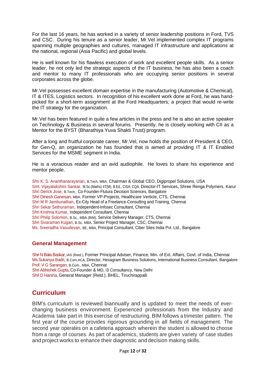For the last 16 years, he has worked in a variety of senior leadership positions in Ford, TVS and CSC. During his tenure as a senior leader, Mr.Vel implemented complex IT programs spanning multiple geographies and cultures, managed IT infrastructure and applications at the national, regional (Asia Pacific) and global levels.

He is well known for his flawless execution of work and excellent people skills. As a senior leader, he not only led the strategic aspects of the IT business, he has also been a coach and mentor to many IT professionals who are occupying senior positions in several corporates across the globe.

Mr.Vel possesses excellent domain expertise in the manufacturing (Automotive & Chemical), IT & ITES, Logistics sectors. In recognition of his excellent work done at Ford, he was handpicked for a short-term assignment at the Ford Headquarters; a project that would re-write the IT strategy for the organization.

Mr.Vel has been featured in quite a few articles in the press and he is also an active speaker on Technology & Business in several forums. Presently, he is closely working with CII as a Mentor for the BYST (Bharathiya Yuva Shakti Trust) program.

After a long and fruitful corporate career, Mr.Vel, now holds the position of President & CEO, for Gen-Q, an organization he has founded that is aimed at providing IT & IT Enabled Services for the MSME segment in India.

He is a voracious reader and an avid audiophile. He loves to share his experience and mentor people.

Shri K. S. Ananthanarayanan, B.Tech, MBA, Chairman & Global CEO, Digipropel Solutions, USA Smt. Vijayalakshmi Sankar, M.Sc.(Maths) IIT(M), B.Ed., CISA, CQA, Director-IT Services, Shree Renga Polymers, Karur Shri Derick Jose, B.Tech., Co-Founder-Flutura Decision Sciences, Bangalore Shri Dinesh Ganesan, MBA, Former VP-Projects, Healthcare Verticle, CTS, Chennai Shri M R Jambunathan, Ex-City Head of a Freelance-Consulting and Training, Chennai Shri Sekar Sethuraman, Independent-Infosec Consultant, Chennai Shri Krishna Kumar, Independent Consultant, Chennai Shri Philip Solomon, B.Sc., MBA (BIM), Service Delivery Manager, CTS, Chennai Shri Sivaraman Kugan, B.Sc, MBA, Senior Project Manager, CSC, Chennai Ms. Sreeradha Vasudevan, BE, MBA, Principal Consultant, Ciber Sites India Pvt. Ltd., Bangalore

# **General Management**

Shri N Bala Baskar, IAS (Retd.), Former Principal Adviser, Finance, Min. of Ext. Affairs, Govt. of India, Chennai Ms.Sukanya Badri, B.Com,ACA, Director, Hexagram Business Solutions, International Business Consultant, Bangalore Prof. V G Sarangan, B.Com., MBA, Chennai

Shri Abhishek Gupta, Co-Founder & MD, i3 Consultancy, New Delhi

Shri D Harsha, General Manager (Retd.), BHEL, Tiruchirappalli

# **Curriculum**

BIM's curriculum is reviewed biannually and is updated to meet the needs of everchanging business environment. Experienced professionals from the Industry and Academia take part in this exercise of restructuring. BIM follows a trimester pattern. The first year of the course provides rigorous grounding in all fields of management. The second year operates on a cafeteria approach wherein the student is allowed to choose from a range of courses. As part of academics, students are given variety of case studies and project works to enhance their diagnostic and decision making skills.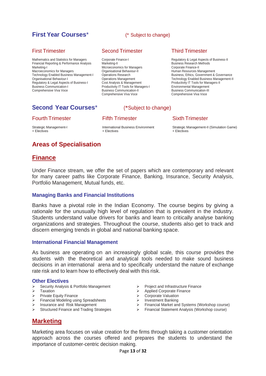# **First Year Courses**\* (\* Subject to change)

# First Trimester

Mathematics and Statistics for Managers Financial Reporting & Performance Analysis Marketing-I Macroeconomics for Managers Technology Enabled Business Management-I Organisational Behaviour-I Regulatory & Legal Aspects of Business-I Business Communication-I Comprehensive Viva Voce

# Second Trimester

Corporate Finance-I Marketing-II Microeconomics for Managers Organisational Behaviour-II Operations Research Operations Management Cost Analysis & Management Productivity IT Tools for Managers-I Business Communication-II Comprehensive Viva Voce

# Third Trimester

Regulatory & Legal Aspects of Business-II Business Research Methods Corporate Finance-II Human Resources Management Business, Ethics, Government & Governance Technology Enabled Business Management-II Productivity IT Tools for Managers-II Environmental Management Business Communication-III Comprehensive Viva Voce

# **Second Year Courses**\* (\*Subject to change)

# Fifth Trimester

## Fourth Trimester

Strategic Management-I + Electives

International Business Environment + Electives

## Sixth Trimester

Strategic Management-II (Simulation Game) + Electives

# **Areas of Specialisation**

# **Finance**

Under Finance stream, we offer the set of papers which are contemporary and relevant for many career paths like Corporate Finance, Banking, Insurance, Security Analysis, Portfolio Management, Mutual funds, etc.

#### **Managing Banks and Financial Institutions**

Banks have a pivotal role in the Indian Economy. The course begins by giving a rationale for the unusually high level of regulation that is prevalent in the industry. Students understand value drivers for banks and learn to critically analyse banking organizations and strategies. Throughout the course, students also get to track and discern emerging trends in global and national banking space.

#### **International Financial Management**

As business are operating on an increasingly global scale, this course provides the students with the theoretical and analytical tools needed to make sound business decisions in an international arena and to specifically understand the nature of exchange rate risk and to learn how to effectively deal with this risk.

#### **Other Electives**

- $\triangleright$  Security Analysis & Portfolio Management
- $\triangleright$  Taxation<br> $\triangleright$  Private E
- Private Equity Finance
- Financial Modeling using Spreadsheets
- > Insurance and Risk Management
- $\triangleright$  Structured Finance and Trading Strategies
- $\triangleright$  Project and Infrastructure Finance
- $\triangleright$  Applied Corporate Finance
- **▶ Corporate Valuation**
- > Corporate Visiting
- Financial Market and Systems (Workshop course)
- Financial Statement Analysis (Workshop course)

# **Marketing**

Marketing area focuses on value creation for the firms through taking a customer orientation approach across the courses offered and prepares the students to understand the importance of customer-centric decision making.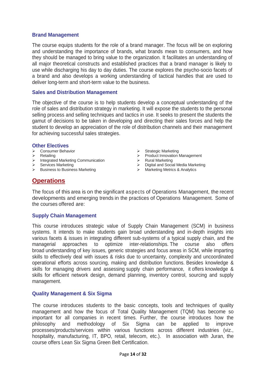# **Brand Management**

The course equips students for the role of a brand manager. The focus will be on exploring and understanding the importance of brands, what brands mean to consumers, and how they should be managed to bring value to the organization. It facilitates an understanding of all major theoretical constructs and established practices that a brand manager is likely to use while discharging his day to day duties. The course explores the psycho-socio facets of a brand and also develops a working understanding of tactical handles that are used to deliver long-term and short-term value to the business.

#### **Sales and Distribution Management**

The objective of the course is to help students develop a conceptual understanding of the role of sales and distribution strategy in marketing. It will expose the students to the personal selling process and selling techniques and tactics in use. It seeks to present the students the gamut of decisions to be taken in developing and directing their sales forces and help the student to develop an appreciation of the role of distribution channels and their management for achieving successful sales strategies.

#### **Other Electives**

- Consumer Behavior
- $\triangleright$  Retailing
- $\triangleright$  Integrated Marketing Communication
- $\triangleright$  Services Marketing
- $\triangleright$  Business to Business Marketing
- $\triangleright$  Strategic Marketing
- > Product Innovation Management
- > Rural Marketing
- > Digital and Social Media Marketing
- > Marketing Metrics & Analytics

# **Operations**

The focus of this area is on the significant aspects of Operations Management, the recent developments and emerging trends in the practices of Operations Management. Some of the courses offered are:

# **Supply Chain Management**

This course introduces strategic value of Supply Chain Management (SCM) in business systems. It intends to make students gain broad understanding and in-depth insights into various facets & issues in integrating different sub-systems of a typical supply chain, and the managerial approaches to optimize inter-relationships. The course also offers broad understanding of key issues, generic strategies and focus areas in SCM, while imparting skills to effectively deal with issues & risks due to uncertainty, complexity and uncoordinated operational efforts across sourcing, making and distribution functions. Besides knowledge & skills for managing drivers and assessing supply chain performance, it offers knowledge & skills for efficient network design, demand planning, inventory control, sourcing and supply management.

#### **Quality Management & Six Sigma**

The course introduces students to the basic concepts, tools and techniques of quality management and how the focus of Total Quality Management (TQM) has become so important for all companies in recent times. Further, the course introduces how the philosophy and methodology of Six Sigma can be applied to improve processes/products/services within various functions across different industries (viz., hospitality, manufacturing, IT, BPO, retail, telecom, etc.). In association with Juran, the course offers Lean Six Sigma Green Belt Certification.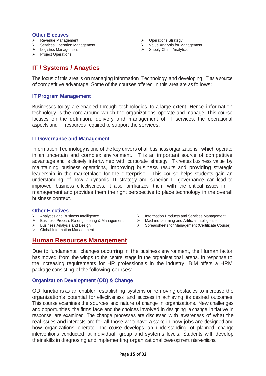### **Other Electives**

- **EXEC** Revenue Management
- Services Operation Management Services Uperandicum<br>
> Logistics Management
- 
- $\triangleright$  Project Operations
- ▶ Operations Strategy
- Value Analysis for Management Supply Chain Analytics<br>Supply Chain Analytics
- 

# **IT / Systems / Anaytics**

The focus of this area is on managing Information Technology and developing IT as a source of competitive advantage. Some of the courses offered in this area are as follows:

# **IT Program Management**

Businesses today are enabled through technologies to a large extent. Hence information technology is the core around which the organizations operate and manage. This course focuses on the definition, delivery and management of IT services; the operational aspects and IT resources required to support the services.

## **IT Governance and Management**

Information Technology is one of the key drivers of all business organizations, which operate in an uncertain and complex environment. IT is an important source of competitive advantage and is closely intertwined with corporate strategy. IT creates business value by maintaining business operations, improving business results and providing strategic leadership in the marketplace for the enterprise. This course helps students gain an understanding of how a dynamic IT strategy and superior IT governance can lead to improved business effectiveness. It also familiarizes them with the critical issues in IT management and provides them the right perspective to place technology in the overall business context.

#### **Other Electives**

- $\triangleright$  Analytics and Business Intelligence
- Business Process Re-engineering & Management
- $\triangleright$  Business Analysis and Design
- Global Information Management
- > Information Products and Services Management
- Machine Learning and Artificial Intelligence
- Spreadsheets for Management (Certificate Course)

# **Human Resources Management**

Due to fundamental changes occurring in the business environment, the Human factor has moved from the wings to the centre stage in the organisational arena. In response to the increasing requirements for HR professionals in the industry, BIM offers a HRM package consisting of the following courses:

# **Organization Development (OD) & Change**

OD functions as an enabler, establishing systems or removing obstacles to increase the organization's potential for effectiveness and success in achieving its desired outcomes. This course examines the sources and nature of change in organizations. New challenges and opportunities the firms face and the choices involved in designing a change initiative in response, are examined. The change processes are discussed with awareness of what the real issues and interests are for all those who have a stake in how jobs are designed and how organizations operate. The course develops an understanding of planned change interventions conducted at individual, group and systems levels. Students will develop their skills in diagnosing and implementing organizational development interventions.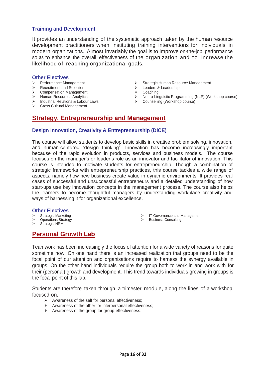# **Training and Development**

It provides an understanding of the systematic approach taken by the human resource development practitioners when instituting training interventions for individuals in modern organizations. Almost invariably the goal is to improve on-the-job performance so as to enhance the overall effectiveness of the organization and to increase the likelihood of reaching organizational goals.

#### **Other Electives**

- > Performance Management
- > Recruitment and Selection
- **▶ Compensation Management**
- > Human Resources Analytics
- $\triangleright$  Industrial Relations & Labour Laws
- Cross Cultural Management
- Strategic Human Resource Management
- Eeaders & Leadership
- **▶** Coaching
- Neuro-Linguistic Programming (NLP) (Workshop course)
- Counselling (Workshop course)

# **Strategy, Entrepreneurship and Management**

# **Design Innovation, Creativity & Entrepreneurship (DICE)**

The course will allow students to develop basic skills in creative problem solving, innovation, and human-centered "design thinking". Innovation has become increasingly important because of the rapid evolution in products, services and business models. The course focuses on the manager's or leader's role as an innovator and facilitator of innovation. This course is intended to motivate students for entrepreneurship. Though a combination of strategic frameworks with entrepreneurship practices, this course tackles a wide range of aspects, namely how new business create value in dynamic environments. It provides real cases of successful and unsuccessful entrepreneurs and a detailed understanding of how start-ups use key innovation concepts in the management process. The course also helps the learners to become thoughtful managers by understanding workplace creativity and ways of harnessing it for organizational excellence.

#### **Other Electives**

- $\triangleright$  Strategic Marketing
- Operations Strategy
- $\overbrace{\phantom{1}}^{\sim}$  Strategic HRM
- IT Governance and Management
- $\triangleright$  Business Consulting

# **Personal Growth Lab**

Teamwork has been increasingly the focus of attention for a wide variety of reasons for quite sometime now. On one hand there is an increased realization that groups need to be the focal point of our attention and organisations require to harness the synergy available in groups. On the other hand individuals require the group both to work in and work with for their (personal) growth and development. This trend towards individuals growing in groups is the focal point of this lab.

Students are therefore taken through a trimester module, along the lines of a workshop, focused on,

- $\triangleright$  Awareness of the self for personal effectiveness;
- $\triangleright$  Awareness of the other for interpersonal effectiveness;
- $\triangleright$  Awareness of the group for group effectiveness.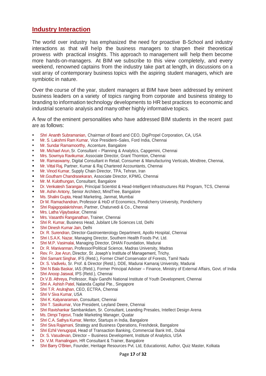# **Industry Interaction**

The world over industry has emphasized the need for proactive B-School and industry interactions as that will help the business managers to sharpen their theoretical prowess with practical insights. This approach to management will help them become more hands-on-managers. At BIM we subscribe to this view completely, and every weekend, renowned captains from the industry take part at length, in discussions on a vast array of contemporary business topics with the aspiring student managers, which are symbiotic in nature.

Over the course of the year, student managers at BIM have been addressed by eminent business leaders on a variety of topics ranging from corporate and business strategy to branding to information technology developments to HR best practices to economic and industrial scenario analysis and many other highly informative topics.

A few of the eminent personalities who have addressed BIM students in the recent past are as follows:

- Shri Ananth Subramanian, Chairman of Board and CEO, DigiPropel Corporation, CA, USA
- Mr. S. Lakshmi Ram Kumar, Vice President–Sales, Ford India, Chennai
- Mr. Sundar Ramamoorthy, Accenture, Bangalore
- Mr. Michael Arun, Sr. Consultant Planning & Analytics, Capgemini, Chennai
- Mrs. Sowmya Ravikumar, Associate Director, Grant Thornton, Chennai
- Mr. Ramaswamy, Digital Consultant in Retail, Consumer & Manufacturing Verticals, Mindtree, Chennai,
- Mr. Vittal Raj, Partner, Kumar & Raj Chartered Accountants, Chennai
- **Mr. Vinod Kumar, Supply Chain Director, TPA, Tehran, Iran**
- Mr.Goutham Chandrasekaran, Associate Director, KPMG, Chennai
- **Mr. M. Kulothungan, Consultant, Bangalore**
- Dr. Venkatesh Sarangan, Principal Scientist & Head-Intelligent Infrastructures R&I Program, TCS, Chennai
- Mr. Ashin Antony, Senior Architect, MindTree, Bangalore
- Ms. Shalini Gupta, Head Marketing, Janmat, Mumbai
- Dr M. Ramachandran, Professor & HoD of Economics, Pondicherry University, Pondicherry
- Shri Rajagopalakrishnan, Partner, Chaturvedi & Co., Chennai
- Mrs. Latha Vijaybaskar, Chennai
- Mrs. Vasanthi Ranganathan, Trainer, Chennai
- Shri R. Kumar, Business Head, Jubilant Life Sciences Ltd, Delhi
- Shri Dinesh Kumar Jain, Delhi
- Dr. R. Surendran, Director-Gastroenterology Department, Apollo Hospital, Chennai
- Shri I.S.A.K. Nazar, Managing Director, Southern Health Foods Pvt. Ltd.
- Shri M.P. Vasimalai, Managing Director, DHAN Foundation, Madurai
- Dr. R. Manivannan, Professor/Political Science, Madras University, Madras
- Rev. Fr. Joe Arun, Director, St. Joseph's Institute of Management, Trichy.
- Shri Samant Singhar, IFS (Retd.), Former Chief Conservator of Forests, Tamil Nadu
- Dr. S. Vadivelu, Sr. Prof. & Director (Retd.), DDE, Madurai Kamaraj University, Madurai
- Shri N Bala Baskar, IAS (Retd.), Former Principal Adviser Finance, Ministry of External Affairs, Govt. of India
- **Shri Anoop Jaiswal, IPS (Retd.), Chennai**
- Dr.V.B. Athreya, Professor, Rajiv Gandhi National Institute of Youth Development, Chennai
- **Shri A. Ashish Patel, Nalanda Capital Pte., Singapore**
- **Shri T.R. Arulrajhan, CEO, ECTRA, Chennai**
- **Shri V Siva Kumar, USA**
- **Shri K. Kalyanaraman, Consultant, Chennai**
- Shri T. Sasikumar, Vice President, Leyland Deere, Chennai
- Shri Ravishankar Sambankdam, Sr. Consultant, Leanding Presales, Intellect Design Arena
- Ms. Dimpi Tejesvi, Trade Marketing Manager, Quatar
- Shri C.A. Sathya Kumar, Mentor, Startups in India, Bangalore
- Shri Siva Rajamani, Strategy and Business Operations, Freshdesk, Bangalore
- Shri Ezhil Venugopal, Head of Transaction Banking, Commercial Bank Intl., Dubai
- Dr. S. Vasudevan, Director Business Development, Institute of Analytics, USA
- **Dr. V.M. Ramalingam, HR Consultant & Trainer, Bangalore**
- Shri Barry O'Brien, Founder, Heritage Resources Pvt. Ltd, Educationist, Author, Quiz Master, Kolkata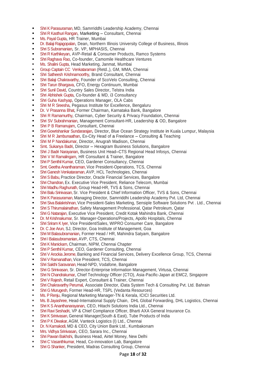- Shri K Parasuraman, MD, Samrriddhi Leadership Academy, Chennai
- Shri R Kasthuri Rangan, Marketing Consultant, Chennai
- **Ms. Payal Gupta, HR Trainer, Mumbai**
- Dr. Balaji Rajagopalan, Dean, Northern Illinois University College of Business, Illinois
- Shri S Subramanian, Sr. VP, MPHASIS, Chennai
- Shri R Karthikeyan, AVP-Retail & Consumer Products, Ramco Systems
- Shri Raghava Rao, Co-founder, Camomile Healthcare Ventures
- Ms. Shalini Gupta, Head Marketing, Janmat, Mumbai
- Group Captain CC Venkataraman (Retd.,), GM, MMA, Chennai
- Shri Satheesh Krishnamoorthy, Brand Consultant, Chennai
- Shri Balaji Chakravarthy, Founder of ScoVelo Consulting, Chennai
- Shri Tarun Bhargava, CFO, Energy Continuum, Mumbai
- Shri Sunil David, Country Sales Director, Telstra India
- Shri Abhishek Gupta, Co-founder & MD, i3 Consultancy
- **Shri Guha Kashyap, Operations Manager, OLA Cabs**
- **Shri M R Sreesha, Pegasus Institute for Excellence, Bengaluru**
- Dr. V Prasanna Bhat, Former Chairman, Karnataka Bank, Bangalore
- Shri R Ramamurthy, Chairman, Cyber Security & Privacy Foundation, Chennai
- Shri SV Subrahmanian, Management Consultant-HR, Leadership & OD, Bangalore
- **Shri P B Ramanujam, Consultant, Chennai**
- Shri Gowrishankar Sundararajan, Director, Blue Ocean Strategy Institute in Kuala Lumpur, Malaysia
- Shri M R Jambunaathan, Ex-City Head of a Freelance Consulting & Teaching
- **Shri M P Nandakumar, Director, Anugrah Madison, Chennai**
- **Smt. Sukanya Badri, Director Hexagram Business Solutions, Bangalore**
- Shri J Badri Narayanan, Business Unit Head–CTS Regional Head Infosys, Chennai
- Shri V M Ramalingam, HR Consultant & Trainer, Bangalore
- Shri P Senthil Kumar, CEO, Gardener Consultancy, Chennai
- Smt. Geetha Anantharaman, Vice President-Operations, TCS, Chennai
- Shri Ganesh Venkataraman, AVP, HCL Technologies, Chennai
- Shri S Babu, Practice Director, Oracle Financial Services, Bangalore
- Shri Chandran, Ex. Executive Vice President, Reliance Telecom, Mumbai
- Shri Madhu Raghunath, Group Head-HR, TVS & Sons, Chennai
- Shri Balu Srinivasan, Sr. Vice President & Chief Information Officer, TVS & Sons, Chennai
- Shri K Parasuraman, Managing Director, Samrriddhi Leadership Academy Pvt. Ltd, Chennai
- Shri Siva Balakrishnan, Vice President-Sales Marketing, Sensiple Software Solutions Pvt . Ltd., Chennai
- Shri S Thirumalainathan, Safety Management Professional, Qatar Petroleum, Qatar
- Shri G Natarajan, Executive Vice President, Credit Kotak Mahindra Bank, Chennai
- Dr. M Krishnakumar, Sr. Manager-Operations/Projects, Apollo Hospitals, Chennai
- Shri Sriram K Iyer, Vice President/Sales, WIPRO Consumer Care, Bangalore
- Dr. C Joe Arun, SJ, Director, Goa Institute of Management, Goa
- Shri M Balasubramanian, Former Head / HR, Mahindra Satyam, Bangalore
- **Shri I Balasubramanian, AVP, CTS, Chennai**
- **Shri K Manickam, Chairman, NIPM, Chennai Chapter**
- Shri P Senthil Kumar, CEO, Gardener Consulting, Chennai
- Shri V Arockia Jerome, Banking and Financial Services, Delivery Excellence Group, TCS, Chennai
- Shri V Ramanathan, Vice President, TCS, Chennai
- Shri Sakthi Saravanan, Head-NPD, Vodafone, Bangalore
- Shri G Srinivasan, Sr. Director-Enterprise Information Management, Virtusa, Chennai
- Shri N Chandrakumar, Chief Technology Officer (CTO), Asia-Pacific-Japan at EMC2, Singapore
- Shri V Rajesh, Retail Expert, Consultant & Trainer, Chennai
- Shri Chakravarthy Perumal, Associate Director, iData System Tech & Consulting Pvt. Ltd. Bahrain
- Shri G Murugesh, Former Head-HR, TSPL (Vedanta Resources)
- Ms. P Renju, Regional Marketing Manager-TN & Kerala, ICICI Securities Ltd.
- Ms. B Jayashree, Head-International Supply Chain, DHL Global Forwarding, DHL Logistics, Chennai
- Shri K S Ananthanarayanan, CEO, Hitachi Solutions India Ltd., Chennai
- Shri Ravi Seshadri, VP & Chief Compliance Officer, Bharti AXA General Insurance Co.
- Shri K Srinivasan, General Manager(South & East), Tube Products of India
- Shri P K Diwakar, AGM, Vanteck Logistics (I) Ltd., Chennai
- Dr. N Kamakodi, MD & CEO, City Union Bank Ltd., Kumbakonam
- Mrs. Vidhya Srinivasan, CEO, Sarara Inc., Chennai
- Shri Pawan Bakhshi, Business Head, Airtel Money, New Delhi
- Shri C Vasanthkumar, Head, Co-innovation Lab, Bangalore
- Shri G Shanker, President, Madras Consulting Group, Chennai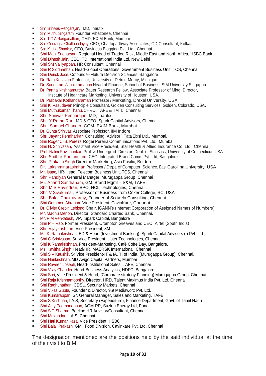- **Shri Srinivas Rengarajan, MD, Inautix**
- **Shri Muthu Singaram, Founder Vibazonee, Chennai**
- Shri T C A Ranganathan, CMD, EXIM Bank, Mumbai
- Shri Gouranga Chattopadhyay, CEO, Chattopadhyay Associates, OD Consultant, Kolkata
- Shri Kiruba Shankar, CEO, Business Blogging Pvt. Ltd., Chennai
- Shri Mani Sudharsan, Regional Head of Traded Risk, Middle East and North Africa, HSBC Bank
- Shri Dinesh Jain, CEO, TDI International India Ltd, New Delhi
- Shri SM Valliyappan, HR Consultant, Chennai
- Shri R Siddharthan, Head-Global Operations, Government Business Unit, TCS, Chennai
- Shri Derick Jose, Cofounder-Flutura Decision Sciences, Bangalore
- Dr. Ram Kesavan Professor, University of Detroit Mercy, Michigan.
- Dr. Sundaram Janakiramanan Head of Finance, School of Business, SIM University Singapore.
- **Dr. Partha Krishnamurthy Bauer Research Fellow, Associate Professor of Mktg. Director,**
- Institute of Healthcare Marketing, University of Houston, USA. ■ Dr. Prabakar Kothandaraman Professor / Marketing, Drexel University, USA.
- Shri K. Vasudevan Principle Consultant, Golden Consulting Services, Golden, Colorado, USA.
- Shri Muthukumar Thanu, CHRO, TAFE & TMTL, Chennai
- Shri Srinivas Rengarajan, MD, Inautix
- Shri Y Rama Rao, MD & CEO, Spark Capital Advisors, Chennai
- Shri Samuel Chander, CGM, EXIM Bank, Mumbai
- Dr. Gunta Srinivas Associate Professor, IIM Indore.
- Shri Jayant Pendharkar Consulting Advisor, Tata Elxsi Ltd., Mumbai.
- Shri Roger C. B. Pereira Roger Pereira Communications Pvt. Ltd., Mumbai
- Shri H. Srinivasan, Assistant Vice President, Star Health & Allied Insurance Co. Ltd., Chennai.
- Prof. Nalini Ravishankar, Prof. & Undergrad. Director, Dept. of Statistics, University of Connecticut, USA.
- Shri Sridhar Ramanujam, CEO, Integrated Brand.Comm Pvt. Ltd, Bangalore.
- Shri Prakash Singh Director-Marketing, Asia Pasific, Beldon.
- Dr. Lakshminarasimhan Professor / Dept. of Computer Science, East Carollina University, USA
- Mr. Isaac, HR-Head, Telecom Business Unit, TCS, Chennai
- Shri Pandiyan General Manager, Murugappa Group, Chennai
- Mr. Anand Santhanam, GM, Brand Mgmt S&M, TAFE.
- Shri M S Ravindran, BPO, HCL Technologies, Chennai
- Shri V Sivakumar, Professor of Business from Coker College, SC, USA
- Shri Balaji Chakravarthy, Founder of ScoVelo Consulting, Chennai
- Shri Oommen Abraham Vice President, CavinKare, Chennai.
- Dr. Olivier Crepin Leblond Chair, ICANN's (Internet Corporation of Assigned Names of Numbers)
- Mr. Madhu Menon, Director, Standard Charted Bank, Chennai.
- Mr. P M Venkatesh, VP, Spark Capital, Bangalore
- Shri P H Rao, Former President, Crompton Greaves and CEO, Airtel (South India)
- **Shri Vijaykrishnan, Vice President, 3M**
- Mr. K. Ramakrishnan, ED & Head (Investment Banking), Spark Capital Advisors (I) Pvt. Ltd.,
- Shri G Srinivasan, Sr. Vice President, Lister Technologies, Chennai.
- Shri K Ramakrishnan, President-Marketing, Café Coffe Day, Bangalore.
- Ms. Kavitha Singh, Head/HR, MAERSK International, Chennai
- Shri S V Kaushik, Sr Vice President-IT & IA, TI of India, (Murugappa Group), Chennai.
- Shri Harikrishnan, MD Avigo Capital Partners, Mumbai
- Shri Raveen Joseph, Head-Institutional Sales, TAFE, Chennai
- Shri Vijay Chander, Head-Business Analytics, HDFC, Bangalore
- Shri Suri, Vice President & Head, (Corporate strategy Planning) Murugappa Group, Chennai.
- Shri Raja Krishnamoorthy, Director, HRD, Talent Maximus India Pvt. Ltd, Chennai
- Shri Raghunathan, CDSL, Security Markets, Chennai
- Shri Vikas Gupta, Founder & Director, 9.9 Mediaworx Pvt. Ltd.
- Shri Kumarappan, Sr. General Manager, Sales and Marketing, TAFE
- Shri S Krishnan, I.A.S, Secretary (Expenditure), Finance Department, Govt. of Tamil Nadu
- Shri Ajay Padmanabhan, AGM-PR, Suzlon Energy Ltd, Pune
- Shri S D Sharma, Beeline HR Advisor/Consultant, Chennai
- Shri Mukundan, I.A.S, Chennai
- Shri Hari Kumar Kasa, Vice President, HSBC
- Shri Balaji Prakash, GM, Food Division, Cavinkare Pvt. Ltd, Chennai

The designation mentioned are the positions held by the said individual at the time of their visit to BIM.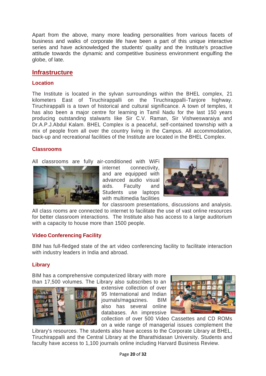Apart from the above, many more leading personalities from various facets of business and walks of corporate life have been a part of this unique interactive series and have acknowledged the students' quality and the Institute's proactive attitude towards the dynamic and competitive business environment engulfing the globe, of late.

# **Infrastructure**

# **Location**

The Institute is located in the sylvan surroundings within the BHEL complex, 21 kilometers East of Tiruchirappalli on the Tiruchirappalli-Tanjore highway. Tiruchirappalli is a town of historical and cultural significance. A town of temples, it has also been a major centre for learning in Tamil Nadu for the last 150 years producing outstanding stalwarts like Sir C.V. Raman, Sir Vishweswaraiya and Dr.A.P.J.Abdul Kalam. BHEL Complex is a peaceful, self-contained township with a mix of people from all over the country living in the Campus. All accommodation, back-up and recreational facilities of the Institute are located in the BHEL Complex.

# **Classrooms**

All classrooms are fully air-conditioned with WiFi



internet connectivity, and are equipped with advanced audio visual aids. Faculty and Students use laptops with multimedia facilities



for classroom presentations, discussions and analysis. All class rooms are connected to internet to facilitate the use of vast online resources for better classroom interactions. The Institute also has access to a large auditorium with a capacity to house more than 1500 people.

# **Video Conferencing Facility**

BIM has full-fledged state of the art video conferencing facility to facilitate interaction with industry leaders in India and abroad.

# **Library**

BIM has a comprehensive computerized library with more than 17,500 volumes. The Library also subscribes to an



extensive collection of over 95 International and Indian journals/magazines. BIM also has several online databases. An impressive



collection of over 500 Video Cassettes and CD ROMs on a wide range of managerial issues complement the

Library's resources. The students also have access to the Corporate Library at BHEL, Tiruchirappalli and the Central Library at the Bharathidasan University. Students and faculty have access to 1,100 journals online including Harvard Business Review.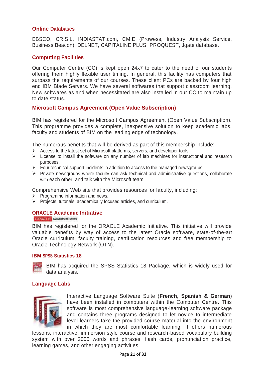# **Online Databases**

EBSCO, CRISIL, INDIASTAT.com, CMIE (Prowess, Industry Analysis Service, Business Beacon), DELNET, CAPITALINE PLUS, PROQUEST, Jgate database.

# **Computing Facilities**

Our Computer Centre (CC) is kept open 24x7 to cater to the need of our students offering them highly flexible user timing. In general, this facility has computers that surpass the requirements of our courses. These client PCs are backed by four high end IBM Blade Servers. We have several softwares that support classroom learning. New softwares as and when necessitated are also installed in our CC to maintain up to date status.

# **Microsoft Campus Agreement (Open Value Subscription)**

BIM has registered for the Microsoft Campus Agreement (Open Value Subscription). This programme provides a complete, inexpensive solution to keep academic labs, faculty and students of BIM on the leading edge of technology.

The numerous benefits that will be derived as part of this membership include:-

- $\triangleright$  Access to the latest set of Microsoft platforms, servers, and developer tools.
- $\triangleright$  License to install the software on any number of lab machines for instructional and research purposes.
- $\triangleright$  Four technical support incidents in addition to access to the managed newsgroups.
- $\triangleright$  Private newsgroups where faculty can ask technical and administrative questions, collaborate with each other, and talk with the Microsoft team.

Comprehensive Web site that provides resources for faculty, including:

- $\triangleright$  Programme information and news.
- $\triangleright$  Projects, tutorials, academically focused articles, and curriculum.

#### **ORACLE Academic Initiative**

ORACLE ACADEMIC INITIATIVE

BIM has registered for the ORACLE Academic Initiative. This initiative will provide valuable benefits by way of access to the latest Oracle software, state-of-the-art Oracle curriculum, faculty training, certification resources and free membership to Oracle Technology Network (OTN).

#### **IBM SPSS Statistics 18**

BIM has acquired the SPSS Statistics 18 Package, which is widely used for data analysis.

#### **Language Labs**



Interactive Language Software Suite (**French, Spanish & German**) have been installed in computers within the Computer Centre. This software is most comprehensive language-learning software package and contains three programs designed to let novice to intermediate level learners take the provided course material into the environment in which they are most comfortable learning. It offers numerous

lessons, interactive, immersion style course and research-based vocabulary building system with over 2000 words and phrases, flash cards, pronunciation practice, learning games, and other engaging activities.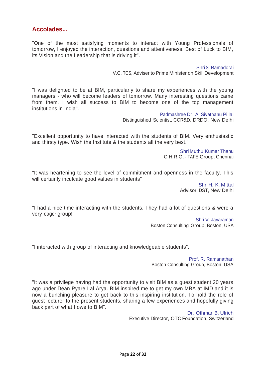# **Accolades...**

"One of the most satisfying moments to interact with Young Professionals of tomorrow, I enjoyed the interaction, questions and attentiveness. Best of Luck to BIM, its Vision and the Leadership that is driving it".

> Shri S. Ramadorai V.C, TCS, Adviser to Prime Minister on Skill Development

"I was delighted to be at BIM, particularly to share my experiences with the young managers - who will become leaders of tomorrow. Many interesting questions came from them. I wish all success to BIM to become one of the top management institutions in India".

> Padmashree Dr. A. Sivathanu Pillai Distinguished Scientist, CCR&D, DRDO, New Delhi

"Excellent opportunity to have interacted with the students of BIM. Very enthusiastic and thirsty type. Wish the Institute & the students all the very best."

> Shri Muthu Kumar Thanu C.H.R.O. - TAFE Group, Chennai

"It was heartening to see the level of commitment and openness in the faculty. This will certainly inculcate good values in students"

> Shri H. K. Mittal Advisor, DST, New Delhi

"I had a nice time interacting with the students. They had a lot of questions & were a very eager group!"

> Shri V. Jayaraman Boston Consulting Group, Boston, USA

"I interacted with group of interacting and knowledgeable students".

Prof. R. Ramanathan Boston Consulting Group, Boston, USA

"It was a privilege having had the opportunity to visit BIM as a guest student 20 years ago under Dean Pyare Lal Arya. BIM inspired me to get my own MBA at IMD and it is now a bunching pleasure to get back to this inspiring institution. To hold the role of guest lecturer to the present students, sharing a few experiences and hopefully giving back part of what I owe to BIM".

> Dr. Othmar B. Ulrich Executive Director, OTC Foundation, Switzerland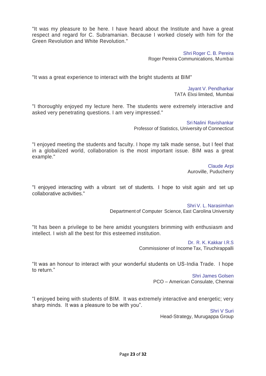"It was my pleasure to be here. I have heard about the Institute and have a great respect and regard for C. Subramanian. Because I worked closely with him for the Green Revolution and White Revolution."

> Shri Roger C. B. Pereira Roger Pereira Communications, Mumbai

"It was a great experience to interact with the bright students at BIM"

Jayant V. Pendharkar TATA Elxsi limited, Mumbai

"I thoroughly enjoyed my lecture here. The students were extremely interactive and asked very penetrating questions. I am very impressed."

> Sri Nalini Ravishankar Professor of Statistics, University of Connecticut

"I enjoyed meeting the students and faculty. I hope my talk made sense, but I feel that in a globalized world, collaboration is the most important issue. BIM was a great example."

> Claude Arpi Auroville, Puducherry

"I enjoyed interacting with a vibrant set of students. I hope to visit again and set up collaborative activities."

> Shri V. L. Narasimhan Department of Computer Science, East Carolina University

"It has been a privilege to be here amidst youngsters brimming with enthusiasm and intellect. I wish all the best for this esteemed institution.

> Dr. R. K. Kakkar I.R.S Commissioner of Income Tax, Tiruchirappalli

"It was an honour to interact with your wonderful students on US-India Trade. I hope to return."

Shri James Golsen PCO – American Consulate, Chennai

"I enjoyed being with students of BIM. It was extremely interactive and energetic; very sharp minds. It was a pleasure to be with you".

> Shri V Suri Head-Strategy, Murugappa Group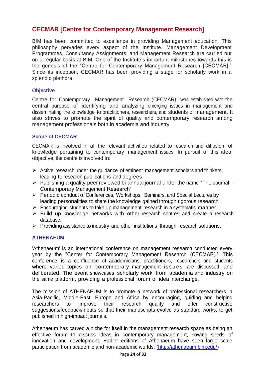# **CECMAR [Centre for Contemporary Management Research]**

BIM has been committed to excellence in providing Management education. This philosophy pervades every aspect of the Institute. Management Development Programmes, Consultancy Assignments, and Management Research are carried out on a regular basis at BIM. One of the Institute's important milestones towards this is the genesis of the "Centre for Contemporary Management Research [CECMAR]." Since its inception, CECMAR has been providing a stage for scholarly work in a splendid plethora.

# **Objective**

Centre for Contemporary Management Research (CECMAR) was established with the central purpose of identifying and analyzing emerging issues in management and disseminating the knowledge to practitioners, researchers, and students of management. It also strives to promote the spirit of quality and contemporary research among management professionals both in academia and industry.

# **Scope of CECMAR**

CECMAR is involved in all the relevant activities related to research and diffusion of knowledge pertaining to contemporary management issues. In pursuit of this ideal objective, the centre is involved in:

- $\triangleright$  Active research under the guidance of eminent management scholars and thinkers, leading to research publications and degrees
- $\triangleright$  Publishing a quality peer reviewed bi-annual journal under the name "The Journal Contemporary Management Research"
- Periodic conduct of Conferences, Workshops, Seminars, and Special Lectures by leading personalities to share the knowledge gained through rigorous research
- $\triangleright$  Encouraging students to take up management research in a systematic manner
- $\triangleright$  Build up knowledge networks with other research centres and create a research database.
- $\triangleright$  Providing assistance to industry and other institutions through research solutions.

# **ATHENAEUM**

'Athenaeum' is an international conference on management research conducted every year by the "Center for Contemporary Management Research (CECMAR)." This conference is a confluence of academicians, practitioners, researchers and students where varied topics on contemporary management issues are discussed and deliberated. The event showcases scholarly work from academia and industry on the same platform, providing a professional forum of idea interchange.

The mission of ATHENAEUM is to promote a network of professional researchers in Asia-Pacific, Middle-East, Europe and Africa by encouraging, guiding and helping researchers to improve their research quality and offer constructive suggestions/feedback/inputs so that their manuscripts evolve as standard works, to get published in high-impact journals.

Athenaeum has carved a niche for itself in the management research space as being an effective forum to discuss ideas in contemporary management, sowing seeds of innovation and development. Earlier editions of Athenaeum have seen large scale participation from academic and non-academic worlds. [\(http://athenaeum.bim.edu/\)](http://athenaeum.bim.edu/)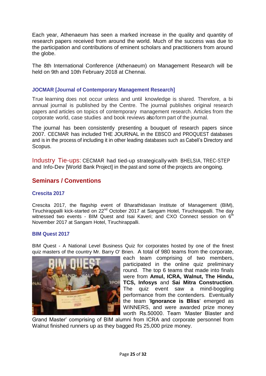Each year, Athenaeum has seen a marked increase in the quality and quantity of research papers received from around the world. Much of the success was due to the participation and contributions of eminent scholars and practitioners from around the globe.

The 8th International Conference (Athenaeum) on Management Research will be held on 9th and 10th February 2018 at Chennai.

# **JOCMAR [Journal of Contemporary Management Research]**

True learning does not occur unless and until knowledge is shared. Therefore, a bi annual journal is published by the Centre. The journal publishes original research papers and articles on topics of contemporary management research. Articles from the corporate world, case studies and book reviews alsoform part of the journal.

The journal has been consistently presenting a bouquet of research papers since 2007. CECMAR has included THE JOURNAL in the EBSCO and PROQUEST databases and is in the process of including it in other leading databases such as Cabell's Directory and Scopus.

Industry Tie-ups: CECMAR had tied-up strategically with BHELSIA, TREC-STEP and Info-Dev [World Bank Project] in the past and some of the projects are ongoing.

# **Seminars / Conventions**

# **Crescita 2017**

Crescita 2017, the flagship event of Bharathidasan Institute of Management (BIM), Tiruchirappalli kick-started on 22<sup>nd</sup> October 2017 at Sangam Hotel, Tiruchirappalli. The day witnessed two events - BIM Quest and Isai Kaveri; and CXO Connect session on  $6<sup>th</sup>$ November 2017 at Sangam Hotel, Tiruchirappalli.

#### **BIM Quest 2017**

BIM Quest - A National Level Business Quiz for corporates hosted by one of the finest quiz masters of the country Mr. Barry O' Brien. A total of 980 teams from the corporate,



each team comprising of two members, participated in the online quiz preliminary round. The top 6 teams that made into finals were from **Amul, ICRA, Walnut, The Hindu, TCS, Infosys** and **Sai Mitra Construction**. The quiz event saw a mind-boggling performance from the contenders. Eventually the team '**Ignorance is Bliss**' emerged as WINNERS, and were awarded prize money worth Rs.50000. Team 'Master Blaster and

Grand Master' comprising of BIM alumni from ICRA and corporate personnel from Walnut finished runners up as they bagged Rs 25,000 prize money.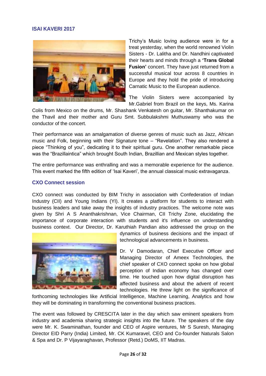# **ISAI KAVERI 2017**



Trichy's Music loving audience were in for a treat yesterday, when the world renowned Violin Sisters - Dr. Lalitha and Dr. Nandhini captivated their hearts and minds through a **'Trans Global Fusion'** concert. They have just returned from a successful musical tour across 8 countries in Europe and they hold the pride of introducing Carnatic Music to the European audience.

The Violin Sisters were accompanied by Mr.Gabriel from Brazil on the keys, Ms. Karina

Colis from Mexico on the drums, Mr. Shashank Venkatesh on guitar, Mr. Shanthakumar on the Thavil and their mother and Guru Smt. Subbulakshmi Muthuswamy who was the conductor of the concert.

Their performance was an amalgamation of diverse genres of music such as Jazz, African music and Folk, beginning with their Signature tone – "Revelation". They also rendered a piece "Thinking of you", dedicating it to their spiritual guru. One another remarkable piece was the "Brazillaintica" which brought South Indian, Brazillian and Mexican styles together.

The entire performance was enthralling and was a memorable experience for the audience. This event marked the fifth edition of 'Isai Kaveri', the annual classical music extravaganza.

#### **CXO Connect session**

CXO connect was conducted by BIM Trichy in association with Confederation of Indian Industry (CII) and Young Indians (YI). It creates a platform for students to interact with business leaders and take away the insights of industry practices. The welcome note was given by Shri A S Ananthakrishnan, Vice Chairman, CII Trichy Zone, elucidating the importance of corporate interaction with students and it's influence on understanding business context. Our Director, Dr. Karuthiah Pandian also addressed the group on the



dynamics of business decisions and the impact of technological advancements in business.

Dr. V Damodaran, Chief Executive Officer and Managing Director of Ameex Technologies, the chief speaker of CXO connect spoke on how global perception of Indian economy has changed over time. He touched upon how digital disruption has affected business and about the advent of recent technologies. He threw light on the significance of

forthcoming technologies like Artificial Intelligence, Machine Learning, Analytics and how they will be dominating in transforming the conventional business practices.

The event was followed by CRESCITA later in the day which saw eminent speakers from industry and academia sharing strategic insights into the future. The speakers of the day were Mr. K. Swaminathan, founder and CEO of Aspire ventures, Mr S Suresh, Managing Director EID Parry (India) Limited, Mr. CK Kumaravel, CEO and Co-founder Naturals Salon & Spa and Dr. P Vijayaraghavan, Professor (Retd.) DoMS, IIT Madras.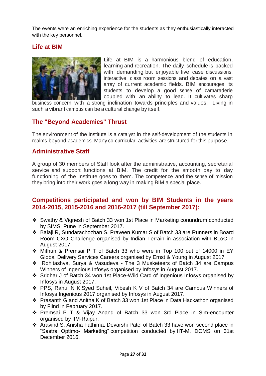The events were an enriching experience for the students as they enthusiastically interacted with the key personnel.

# **Life at BIM**



Life at BIM is a harmonious blend of education, learning and recreation. The daily schedule is packed with demanding but enjoyable live case discussions, interactive class room sessions and debates on a vast array of current academic fields. BIM encourages its students to develop a good sense of camaraderie coupled with an ability to lead. It cultivates sharp

business concern with a strong inclination towards principles and values. Living in such a vibrant campus can be a cultural change by itself.

# **The "Beyond Academics" Thrust**

The environment of the Institute is a catalyst in the self-development of the students in realms beyond academics. Many co-curricular activities are structured for this purpose.

# **Administrative Staff**

A group of 30 members of Staff look after the administrative, accounting, secretarial service and support functions at BIM. The credit for the smooth day to day functioning of the Institute goes to them. The competence and the sense of mission they bring into their work goes a long way in making BIM a special place.

# **Competitions participated and won by BIM Students in the years 2014-2015, 2015-2016 and 2016-2017 (till September 2017):**

- \* Swathy & Vignesh of Batch 33 won 1st Place in Marketing conundrum conducted by SIMS, Pune in September 2017.
- Balaji R, Sundarachozhan S, Praveen Kumar S of Batch 33 are Runners in Board Room CXO Challenge organised by Indian Terrain in association with BLoC in August 2017.
- Mithun & Premsai P T of Batch 33 who were in Top 100 out of 14000 in EY Global Delivery Services Careers organised by Ernst & Young in August 2017
- Rohitashva, Surya & Vasudeva The 3 Musketeers of Batch 34 are Campus Winners of Ingenious Infosys organised by Infosys in August 2017.
- Sridhar J of Batch 34 won 1st Place-Wild Card of Ingenious Infosys organised by Infosys in August 2017.
- PPS, Rahul N K,Syed Suheil, Vibesh K V of Batch 34 are Campus Winners of Infosys Ingenious 2017 organised by Infosys in August 2017.
- Prasanth G and Anitha K of Batch 33 won 1st Place in Data Hackathon organised by Fiind in February 2017.
- Premsai P T & Vijay Anand of Batch 33 won 3rd Place in Sim-encounter organised by IIM-Raipur.
- Aravind S, Anisha Fathima, Devarshi Patel of Batch 33 have won second place in "Sastra Optimo- Marketing" competition conducted by IIT-M, DOMS on 31st December 2016.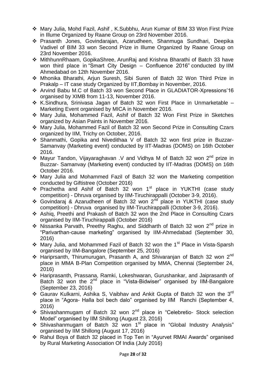- Mary Julia, Mohd Fazil, Ashif , K.Subbhu, Arun Kumar of BIM 33 Won First Prize in Illume Organized by Raane Group on 23rd November 2016.
- Prasanth Jones, Govindarajan, Azarudheen, Shanmuga Sundhari, Deepika Vadivel of BIM 33 won Second Prize in Illume Organized by Raane Group on 23rd November 2016.
- MithhunnRhaam, GopikaShree, ArunRaj and Krishna Bharathi of Batch 33 have won third place in "Smart City Design – Confluence 2016" conducted by IIM Ahmedabad on 12th November 2016.
- Mhonika Bharathi, Arjun Suresh, Sibi Suren of Batch 32 Won Third Prize in Prakalp – IT case study Organized by IIT,Bombay in November, 2016.
- Arvind Babu M.C of Batch 33 won Second Place in GLADIATOR-Xpressions'16 organised by XIMB from 11-13, November 2016.
- \* K.Sindhura, Srinivasa Jagan of Batch 32 won First Place in Unmarketable Marketing Event organised by MICA in November 2016.
- Mary Julia, Mohammed Fazil, Ashif of Batch 32 Won First Prize in Sketches organized by Asian Paints in November 2016.
- Mary Julia, Mohammed Fazil of Batch 32 won Second Prize in Consulting Czars organized by IIM, Trichy on October, 2016.
- Shanmathi, Gopika and Nivedithaa V of Batch 32 won first prize in Buzzar-Samanvay (Marketing event) conducted by IIT-Madras (DOMS) on 16th October 2016.
- Mayur Tandon, Vijayaraghavan .V and Vidhya M of Batch 32 won 2<sup>nd</sup> prize in Buzzar- Samanvay (Marketing event) conducted by IIT-Madras (DOMS) on 16th October 2016.
- Mary Julia and Mohammed Fazil of Batch 32 won the Marketing competition conducted by Giftistree (October 2016)
- \* Prachetha and Ashif of Batch 32 won 1<sup>st</sup> place in YUKTHI (case study competition) - Dhruva organised by IIM-Tiruchirappalli (October 3-9, 2016).
- Govindaraj & Azarudheen of Batch 32 won 2<sup>nd</sup> place in YUKTHI (case study competition) - Dhruva organised by IIM-Tiruchirappalli (October 3-9, 2016).
- Ashiq, Preethi and Prakash of Batch 32 won the 2nd Place in Consulting Czars organised by IIM-Tiruchirappalli (October 2016)
- Nissanka Parvath, Preethy Raghu, and Siddharth of Batch 32 won 2<sup>nd</sup> prize in "Parivarthan-cause marketing" organised by IIM-Ahmedabad (September 30, 2016)
- Mary Julia, and Mohammed Fazil of Batch 32 won the 1<sup>st</sup> Place in Vista-Sparsh organised by IIM-Bangalore (September 25, 2016)
- ❖ Hariprsanth, Thirumurugan, Prasanth A, and Shivaranjan of Batch 32 won 2<sup>nd</sup> place in MMA B-Plan Competition organised by MMA, Chennai (September 24, 2016)
- Hariprasanth, Prassana, Ramki, Lokeshwaran, Gurushankar, and Jaiprasanth of Batch 32 won the 2<sup>nd</sup> place in "Vista-Bidwiser" organised by IIM-Bangalore (September 23, 2016)
- Gaurav Kulkarni, Ashika S, Vaibhav and Ankit Gupta of Batch 32 won the 3<sup>rd</sup> place in "Agora- Halla bol bech dalo" organised by IIM Ranchi (September 4, 2016)
- Shivashanmugam of Batch 32 won 2nd place in "Celebretio- Stock selection Model" organised by IIM Shillong (August 23, 2016)
- Shivashanmugam of Batch 32 won 1<sup>st</sup> place in "Global Industry Analysis" organised by IIM Shillong (August 17, 2016)
- Rahul Boya of Batch 32 placed in Top Ten in "Ayurvet RMAI Awards" organised by Rural Marketing Association Of India (July 2016)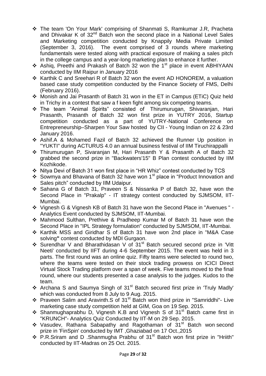- The team 'On Your Mark' comprising of Shanmati S, Ramkumar J.R, Pracheta and Dhivakar K of  $32^{nd}$  Batch won the second place in a National Level Sales and Marketing competition conducted by Knappily Media Private Limited (September 3, 2016). The event comprised of 3 rounds where marketing fundamentals were tested along with practical exposure of making a sales pitch in the college campus and a year-long marketing plan to enhance it further.
- Ashig, Preethi and Prakash of Batch 32 won the 1<sup>st</sup> place in event ABHIYAAN conducted by IIM Raipur in January 2016
- \* Karthik C and Sreehari R of Batch 32 won the event AD HONOREM, a valuation based case study competition conducted by the Finance Society of FMS, Delhi (February 2016).
- Monish and Jai Prasanth of Batch 31 won in the ET in Campus (ETiC) Quiz held in Trichy in a contest that saw a f keen fight among six competing teams.
- The team "Animal Spirits" consisted of Thirumurugan, Shivaranjan, Hari Prasanth, Prasanth of Batch 32 won first prize in YUTRY 2016, Startup competition conducted as a part of YUTRY-National Conference on Entrepreneurship–Sharpen Your Saw hosted by CII - Young Indian on 22 & 23rd January 2016.
- Ashif.A & Mohamed Fazil of Batch 32 achieved the Runner Up position in "YUKTI" during ACTURUS 4.0 an annual business festival of IIM Tiruchirappalli
- Thirumurugan P, Sivaranjan M, Hari Prasanth Y & Prasanth A of Batch 32 grabbed the second prize in "Backwaters'15" B Plan contest conducted by IIM Kozhikode.
- Nitya Devi of Batch 31 won first place in "HR Whiz" contest conducted by TCS
- Sowmya and Bhavana of Batch 32 have won 1<sup>st</sup> place in "Product Innovation and Sales pitch" conducted by IIM Udaipur.
- Sahana G of Batch 31, Praveen S & Nissanka P of Batch 32, have won the Second Place in "Prakalp" - IT strategy contest conducted by SJMSOM, IIT-Mumbai.
- Vignesh G & Vignesh KB of Batch 31 have won the Second Place in "Avenues " Analytics Event conducted by SJMSOM, IIT-Mumbai.
- Mahmood Sulthan, Prethive & Pradheep Kumar M of Batch 31 have won the Second Place in "IPL Strategy formulation" conducted by SJMSOM, IIT-Mumbai.
- \* Karthik MSS and Giridhar S of Batch 31 have won 2nd place in "M&A Case solving**"** contest conducted by MDI Gurgaon.
- Surendhar V and Bharathidasan V of 31<sup>st</sup> Batch secured second prize in 'Vitt Neeti' conducted by IIFT during 4-6 September 2015. The event was held in 3 parts. The first round was an online quiz. Fifty teams were selected to round two, where the teams were tested on their stock trading prowess on ICICI Direct Virtual Stock Trading platform over a span of week. Five teams moved to the final round, where our students presented a case analysis to the judges. Kudos to the team.
- $\div$  Archana S and Saumya Singh of 31<sup>st</sup> Batch secured first prize in 'Truly Madly' which was conducted from 8 July to 9 Aug. 2015.
- Praveen Salim and Aravinth.S of 31<sup>st</sup> Batch won third prize in "Samriddhi"- Live marketing case study competition held at GIM, Goa on 19 Sep. 2015.
- Shanmughaprabhu D, Vignesh K.B and Vignesh S of 31<sup>st</sup> Batch came first in "KRUNCH"- Analytics Quiz Conducted by IIT-M on 29 Sep. 2015.
- Vasudev, Rathana Sabapathy and Ragothaman of 31<sup>st</sup> Batch won second prize in 'FinSpin' conducted by IMT ,Ghaziabad on 17 Oct.,2015
- $\div$  P.R.Sriram and D .Shanmugha Prabhu of 31<sup>st</sup> Batch won first prize in "Hriith" conducted by IIT-Madras on 25 Oct. 2015.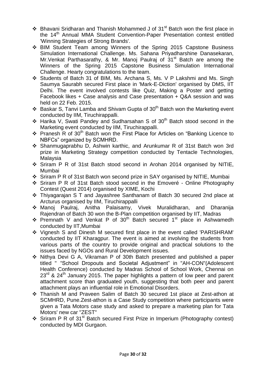- $\cdot$  Bhavani Sridharan and Thanish Mohammed J of 31<sup>st</sup> Batch won the first place in the 14<sup>th</sup> Annual MMA Student Convention-Paper Presentation contest entitled 'Winning Strategies of Strong Brands'.
- BIM Student Team among Winners of the Spring 2015 Capstone Business Simulation International Challenge. Ms. Sahana Priyadharshine Danasekaran, Mr. Venkat Parthasarathy, & Mr. Manoj Paulraj of  $31<sup>st</sup>$  Batch are among the Winners of the Spring 2015 Capstone Business Simulation International Challenge. Hearty congratulations to the team.
- Students of Batch 31 of BIM, Ms. Archana S, Ms. V P Lakshmi and Ms. Singh Saumya Saurabh secured First place in 'Mark-E-Diction' organised by DMS, IIT Delhi. The event involved contests like Quiz, Making a Poster and getting Facebook likes + Case analysis and Case presentation + Q&A session and was held on 22 Feb. 2015.
- Baskar S, Tanvi Lamba and Shivam Gupta of  $30<sup>th</sup>$  Batch won the Marketing event conducted by IIM, Tiruchirappalli.
- $\div$  Harika V, Swati Pandey and Sudharsahan S of 30<sup>th</sup> Batch stood second in the Marketing event conducted by IIM, Tiruchirappalli.
- Pranesh R of 30th Batch won the First Place for Articles on "Banking Licence to NBFCs" organized by SCMHRD.
- Shanmugaprabhu D, Ashwin karthic, and Arunkumar R of 31st Batch won 3rd prize in Marketing Strategy competition conducted by Tentacle Technologies, Malaysia
- Sriram P R of 31st Batch stood second in Arohan 2014 organised by NITIE, Mumbai
- Sriram P R of 31st Batch won second prize in SAY organised by NITIE, Mumbai
- Sriram P R of 31st Batch stood second in the Emoveré Online Photography Contest (Quest 2014) organised by XIME, Kochi
- Thiyagarajan S T and Jayashree Santhanam of Batch 30 secured 2nd place at Arcturus organised by IIM, Tiruchirappalli
- Manoj Paulraj, Anitha Palaisamy, Vivek Muralidharan, and Dharanija Rajendran of Batch 30 won the B-Plan competition organised by IIT, Madras
- $\cdot$  Premnath V and Venkat P of 30<sup>th</sup> Batch secured 1<sup>st</sup> place in Ashwamedh conducted by IIT,Mumbai
- Vignesh S and Dinesh M secured first place in the event called 'PARISHRAM' conducted by IIT Kharagpur. The event is aimed at involving the students from various parts of the country to provide original and practical solutions to the issues faced by NGOs and Rural Development issues.
- Nithya Devi G A, Vikraman P of 30th Batch presented and published a paper titled " "School Dropouts and Societal Adjustment" in "AH-CON"(Adolescent Health Conference) conducted by Madras School of School Work, Chennai on  $23<sup>rd</sup>$  & 24<sup>th</sup> January 2015. The paper highlights a pattern of low peer and parent attachment score than graduated youth, suggesting that both peer and parent attachment plays an influential role in Emotional Disorders.
- Thanish M and Praveen Salim of Batch 30 secured 1st place at Zest-athon at SCMHRD, Pune.Zest-athon is a Case Study competition where participants were given a Tata Motors case study and asked to prepare a marketing plan for Tata Motors' new car "ZEST"
- $\div$  Sriram P R of 31<sup>st</sup> Batch secured First Prize in Imperium (Photography contest) conducted by MDI Gurgaon.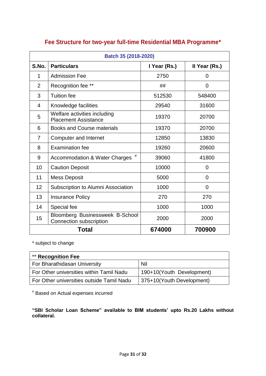| Batch 35 (2018-2020) |                                                             |              |                |
|----------------------|-------------------------------------------------------------|--------------|----------------|
| S.No.                | <b>Particulars</b>                                          | I Year (Rs.) | Il Year (Rs.)  |
| 1                    | <b>Admission Fee</b>                                        | 2750         | $\overline{0}$ |
| $\overline{2}$       | Recognition fee **                                          | ##           | $\Omega$       |
| 3                    | <b>Tuition fee</b>                                          | 512530       | 548400         |
| 4                    | Knowledge facilities                                        | 29540        | 31600          |
| 5                    | Welfare activities including<br><b>Placement Assistance</b> | 19370        | 20700          |
| 6                    | <b>Books and Course materials</b>                           | 19370        | 20700          |
| $\overline{7}$       | <b>Computer and Internet</b>                                | 12850        | 13830          |
| 8                    | <b>Examination fee</b>                                      | 19260        | 20600          |
| 9                    | #<br>Accommodation & Water Charges                          | 39060        | 41800          |
| 10                   | <b>Caution Deposit</b>                                      | 10000        | $\overline{0}$ |
| 11                   | <b>Mess Deposit</b>                                         | 5000         | 0              |
| 12                   | Subscription to Alumni Association                          | 1000         | $\overline{0}$ |
| 13                   | <b>Insurance Policy</b>                                     | 270          | 270            |
| 14                   | Special fee                                                 | 1000         | 1000           |
| 15                   | Bloomberg Businessweek B-School<br>Connection subscription  | 2000         | 2000           |
| Total                |                                                             | 674000       | 700900         |

# **Fee Structure for two-year full-time Residential MBA Programme\***

\* subject to change

| <b>** Recognition Fee</b>                 |                           |  |  |
|-------------------------------------------|---------------------------|--|--|
| For Bharathidasan University              | Nil                       |  |  |
| For Other universities within Tamil Nadu  | 190+10(Youth Development) |  |  |
| For Other universities outside Tamil Nadu | 375+10(Youth Development) |  |  |

# Based on Actual expenses incurred

**"SBI Scholar Loan Scheme" available to BIM students' upto Rs.20 Lakhs without collateral.**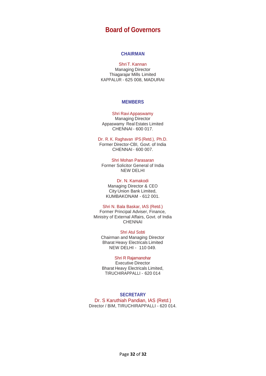# **Board of Governors**

#### **CHAIRMAN**

#### Shri T.Kannan

Managing Director Thiagarajar Mills Limited KAPPALUR - 625 008, MADURAI

#### **MEMBERS**

#### Shri Ravi Appaswamy

Managing Director Appaswamy Real Estates Limited CHENNAI - 600 017.

Dr. R. K. Raghavan IPS (Retd.), Ph.D. Former Director-CBI, Govt. of India CHENNAI - 600 007.

Shri Mohan Parasaran Former Solicitor General of India NEW DELHI

Dr. N. Kamakodi

Managing Director & CEO City Union Bank Limited, KUMBAKONAM - 612 001.

#### Shri N. Bala Baskar, IAS (Retd.)

Former Principal Adviser, Finance, Ministry of External Affairs, Govt. of India **CHENNAI** 

Shri Atul Sobti Chairman and Managing Director Bharat Heavy Electricals Limited NEW DELHI - 110 049.

#### Shri R Rajamanohar

Executive Director Bharat Heavy Electricals Limited, TIRUCHIRAPPALLI - 620 014

#### **SECRETARY** Dr. S Karuthiah Pandian, IAS (Retd.) Director / BIM, TIRUCHIRAPPALLI - 620 014.